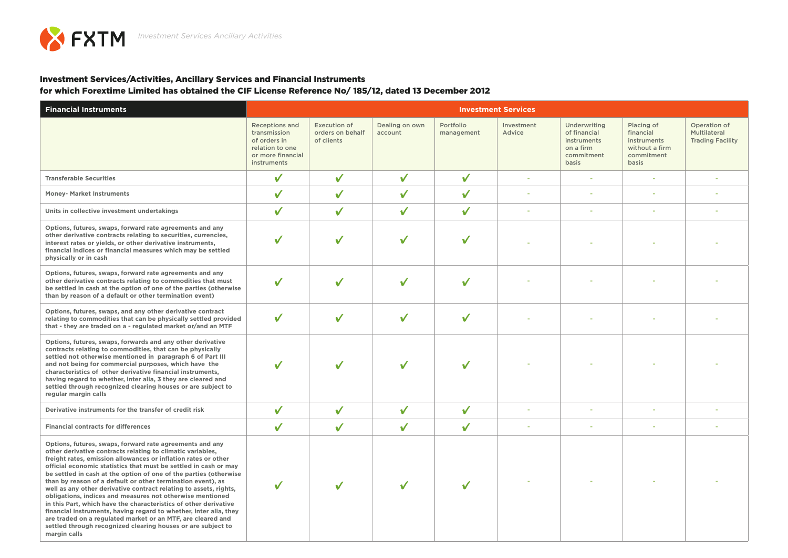## Investment Services/Activities, Ancillary Services and Financial Instruments

for which Forextime Limited has obtained the CIF License Reference No/ 185/12, dated 13 December 2012

| <b>Financial Instruments</b>                                                                                                                                                                                                                                                                                                                                                                                                                                                                                                                                                                                                                                                                                                                                                                                               | <b>Investment Services</b>                                                                            |                                                |                           |                         |                      |                                                                                 |                                                                                 |                                                         |  |  |
|----------------------------------------------------------------------------------------------------------------------------------------------------------------------------------------------------------------------------------------------------------------------------------------------------------------------------------------------------------------------------------------------------------------------------------------------------------------------------------------------------------------------------------------------------------------------------------------------------------------------------------------------------------------------------------------------------------------------------------------------------------------------------------------------------------------------------|-------------------------------------------------------------------------------------------------------|------------------------------------------------|---------------------------|-------------------------|----------------------|---------------------------------------------------------------------------------|---------------------------------------------------------------------------------|---------------------------------------------------------|--|--|
|                                                                                                                                                                                                                                                                                                                                                                                                                                                                                                                                                                                                                                                                                                                                                                                                                            | Receptions and<br>transmission<br>of orders in<br>relation to one<br>or more financial<br>instruments | Execution of<br>orders on behalf<br>of clients | Dealing on own<br>account | Portfolio<br>management | Investment<br>Advice | Underwriting<br>of financial<br>instruments<br>on a firm<br>commitment<br>basis | Placing of<br>financial<br>instruments<br>without a firm<br>commitment<br>basis | Operation of<br>Multilateral<br><b>Trading Facility</b> |  |  |
| <b>Transferable Securities</b>                                                                                                                                                                                                                                                                                                                                                                                                                                                                                                                                                                                                                                                                                                                                                                                             | ✓                                                                                                     | ✓                                              | ✓                         | ✓                       |                      | ×.                                                                              |                                                                                 |                                                         |  |  |
| <b>Money- Market Instruments</b>                                                                                                                                                                                                                                                                                                                                                                                                                                                                                                                                                                                                                                                                                                                                                                                           | ✓                                                                                                     | ✓                                              | ✓                         | ✓                       |                      |                                                                                 |                                                                                 |                                                         |  |  |
| Units in collective investment undertakings                                                                                                                                                                                                                                                                                                                                                                                                                                                                                                                                                                                                                                                                                                                                                                                | ✓                                                                                                     | ✓                                              | ✓                         | ✓                       |                      | ٠                                                                               |                                                                                 |                                                         |  |  |
| Options, futures, swaps, forward rate agreements and any<br>other derivative contracts relating to securities, currencies,<br>interest rates or yields, or other derivative instruments,<br>financial indices or financial measures which may be settled<br>physically or in cash                                                                                                                                                                                                                                                                                                                                                                                                                                                                                                                                          | ✓                                                                                                     | ັ                                              | ✓                         | ✓                       |                      |                                                                                 |                                                                                 |                                                         |  |  |
| Options, futures, swaps, forward rate agreements and any<br>other derivative contracts relating to commodities that must<br>be settled in cash at the option of one of the parties (otherwise<br>than by reason of a default or other termination event)                                                                                                                                                                                                                                                                                                                                                                                                                                                                                                                                                                   | ✓                                                                                                     | ✓                                              | ✓                         | ✓                       |                      |                                                                                 |                                                                                 |                                                         |  |  |
| Options, futures, swaps, and any other derivative contract<br>relating to commodities that can be physically settled provided<br>that - they are traded on a - regulated market or/and an MTF                                                                                                                                                                                                                                                                                                                                                                                                                                                                                                                                                                                                                              | ✓                                                                                                     | ✓                                              | ✓                         | ✓                       |                      |                                                                                 |                                                                                 |                                                         |  |  |
| Options, futures, swaps, forwards and any other derivative<br>contracts relating to commodities, that can be physically<br>settled not otherwise mentioned in paragraph 6 of Part III<br>and not being for commercial purposes, which have the<br>characteristics of other derivative financial instruments,<br>having regard to whether, inter alia, 3 they are cleared and<br>settled through recognized clearing houses or are subject to<br>regular margin calls                                                                                                                                                                                                                                                                                                                                                       | ✓                                                                                                     |                                                | ✓                         | ✓                       |                      |                                                                                 |                                                                                 |                                                         |  |  |
| Derivative instruments for the transfer of credit risk                                                                                                                                                                                                                                                                                                                                                                                                                                                                                                                                                                                                                                                                                                                                                                     | ✓                                                                                                     | ✓                                              | ✓                         | ✓                       |                      |                                                                                 |                                                                                 |                                                         |  |  |
| <b>Financial contracts for differences</b>                                                                                                                                                                                                                                                                                                                                                                                                                                                                                                                                                                                                                                                                                                                                                                                 | ✓                                                                                                     | ✓                                              | ✓                         | ✓                       |                      |                                                                                 |                                                                                 |                                                         |  |  |
| Options, futures, swaps, forward rate agreements and any<br>other derivative contracts relating to climatic variables,<br>freight rates, emission allowances or inflation rates or other<br>official economic statistics that must be settled in cash or may<br>be settled in cash at the option of one of the parties (otherwise<br>than by reason of a default or other termination event), as<br>well as any other derivative contract relating to assets, rights,<br>obligations, indices and measures not otherwise mentioned<br>in this Part, which have the characteristics of other derivative<br>financial instruments, having regard to whether, inter alia, they<br>are traded on a regulated market or an MTF, are cleared and<br>settled through recognized clearing houses or are subject to<br>margin calls | ✓                                                                                                     | ✓                                              | ✓                         |                         |                      |                                                                                 |                                                                                 |                                                         |  |  |